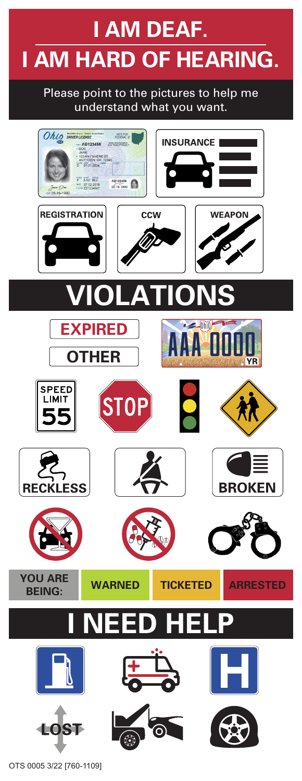## **I AM DEAF. I AM HARD OF HEARING.**

Please point to the pictures to help me understand what you want.



OTS 0005 3/22 [760-1109]